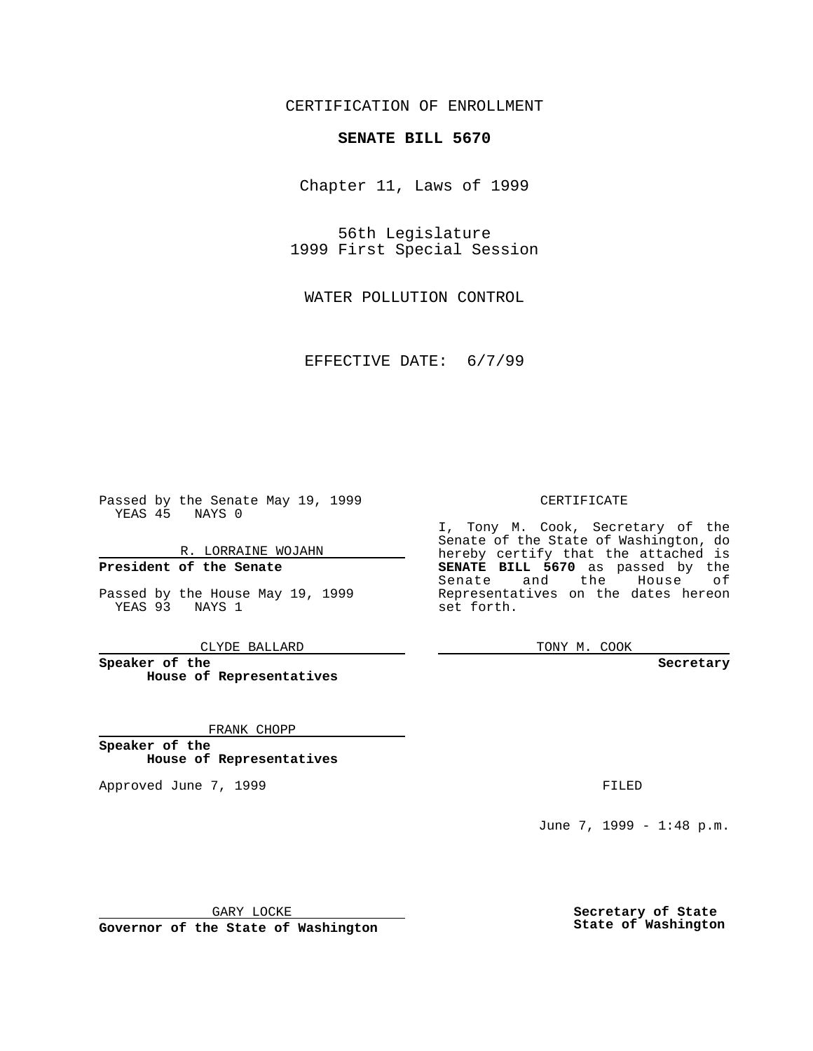CERTIFICATION OF ENROLLMENT

## **SENATE BILL 5670**

Chapter 11, Laws of 1999

56th Legislature 1999 First Special Session

WATER POLLUTION CONTROL

EFFECTIVE DATE: 6/7/99

 $\mathcal{L}^{\text{max}}$ 

Passed by the Senate May 19, 1999 YEAS 45 NAYS 0

R. LORRAINE WOJAHN **President of the Senate**

Passed by the House May 19, 1999 YEAS 93 NAYS 1

CLYDE BALLARD

**Speaker of the House of Representatives**

FRANK CHOPP

**Speaker of the House of Representatives**

Approved June 7, 1999 **FILED** 

### CERTIFICATE

I, Tony M. Cook, Secretary of the Senate of the State of Washington, do hereby certify that the attached is **SENATE BILL 5670** as passed by the Senate and the House of Representatives on the dates hereon set forth.

TONY M. COOK

#### **Secretary**

June 7, 1999 - 1:48 p.m.

GARY LOCKE

**Governor of the State of Washington**

**Secretary of State State of Washington**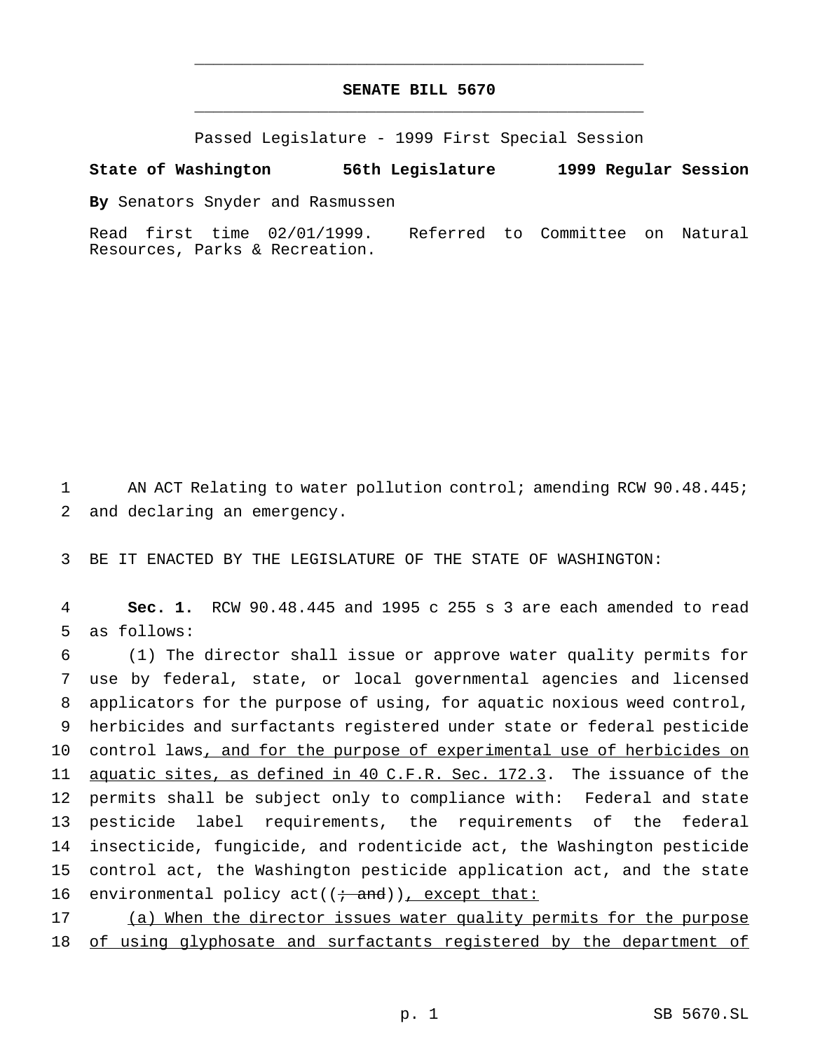# **SENATE BILL 5670** \_\_\_\_\_\_\_\_\_\_\_\_\_\_\_\_\_\_\_\_\_\_\_\_\_\_\_\_\_\_\_\_\_\_\_\_\_\_\_\_\_\_\_\_\_\_\_

\_\_\_\_\_\_\_\_\_\_\_\_\_\_\_\_\_\_\_\_\_\_\_\_\_\_\_\_\_\_\_\_\_\_\_\_\_\_\_\_\_\_\_\_\_\_\_

Passed Legislature - 1999 First Special Session

#### **State of Washington 56th Legislature 1999 Regular Session**

**By** Senators Snyder and Rasmussen

Read first time 02/01/1999. Referred to Committee on Natural Resources, Parks & Recreation.

1 AN ACT Relating to water pollution control; amending RCW 90.48.445; 2 and declaring an emergency.

3 BE IT ENACTED BY THE LEGISLATURE OF THE STATE OF WASHINGTON:

4 **Sec. 1.** RCW 90.48.445 and 1995 c 255 s 3 are each amended to read 5 as follows:

 (1) The director shall issue or approve water quality permits for use by federal, state, or local governmental agencies and licensed applicators for the purpose of using, for aquatic noxious weed control, herbicides and surfactants registered under state or federal pesticide 10 control laws, and for the purpose of experimental use of herbicides on 11 aguatic sites, as defined in 40 C.F.R. Sec. 172.3. The issuance of the permits shall be subject only to compliance with: Federal and state pesticide label requirements, the requirements of the federal insecticide, fungicide, and rodenticide act, the Washington pesticide control act, the Washington pesticide application act, and the state 16 environmental policy  $act((\div and))$ , except that:

17 (a) When the director issues water quality permits for the purpose 18 of using glyphosate and surfactants registered by the department of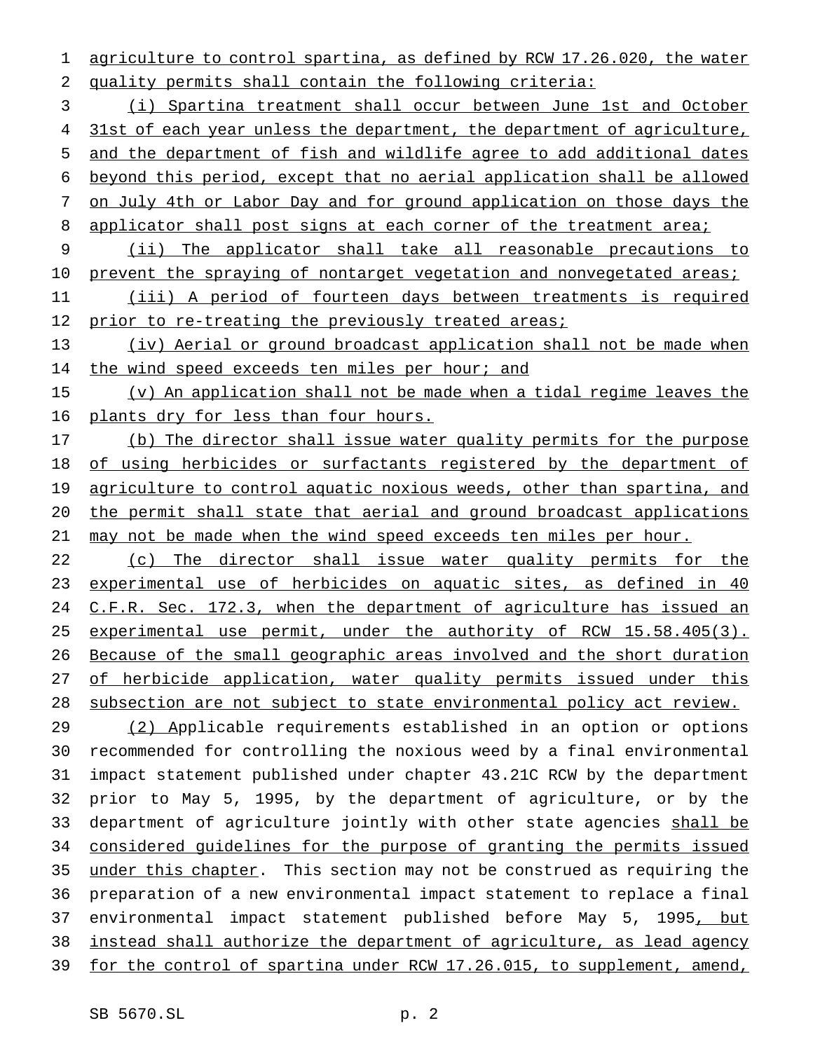agriculture to control spartina, as defined by RCW 17.26.020, the water quality permits shall contain the following criteria:

 (i) Spartina treatment shall occur between June 1st and October 4 31st of each year unless the department, the department of agriculture, and the department of fish and wildlife agree to add additional dates beyond this period, except that no aerial application shall be allowed on July 4th or Labor Day and for ground application on those days the 8 applicator shall post signs at each corner of the treatment area;

 (ii) The applicator shall take all reasonable precautions to 10 prevent the spraying of nontarget vegetation and nonvegetated areas;

 (iii) A period of fourteen days between treatments is required 12 prior to re-treating the previously treated areas;

 (iv) Aerial or ground broadcast application shall not be made when 14 the wind speed exceeds ten miles per hour; and

 (v) An application shall not be made when a tidal regime leaves the plants dry for less than four hours.

 (b) The director shall issue water quality permits for the purpose of using herbicides or surfactants registered by the department of 19 agriculture to control aquatic noxious weeds, other than spartina, and the permit shall state that aerial and ground broadcast applications may not be made when the wind speed exceeds ten miles per hour.

22 (c) The director shall issue water quality permits for the experimental use of herbicides on aquatic sites, as defined in 40 24 C.F.R. Sec. 172.3, when the department of agriculture has issued an experimental use permit, under the authority of RCW 15.58.405(3). Because of the small geographic areas involved and the short duration 27 of herbicide application, water quality permits issued under this subsection are not subject to state environmental policy act review.

 (2) Applicable requirements established in an option or options recommended for controlling the noxious weed by a final environmental impact statement published under chapter 43.21C RCW by the department prior to May 5, 1995, by the department of agriculture, or by the 33 department of agriculture jointly with other state agencies shall be considered guidelines for the purpose of granting the permits issued 35 under this chapter. This section may not be construed as requiring the preparation of a new environmental impact statement to replace a final 37 environmental impact statement published before May 5, 1995, but instead shall authorize the department of agriculture, as lead agency for the control of spartina under RCW 17.26.015, to supplement, amend,